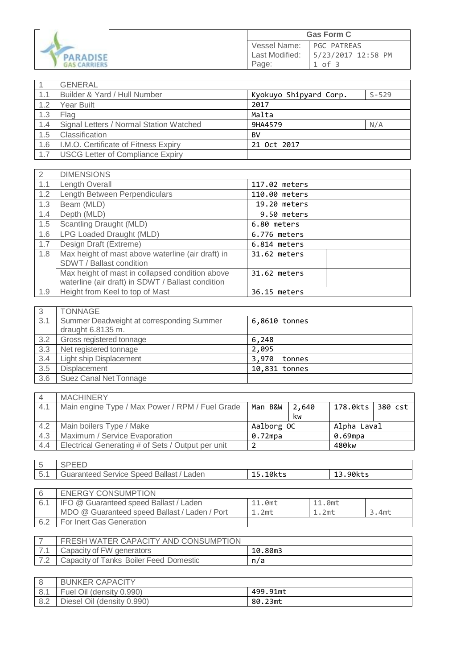| PARADISE            |
|---------------------|
| <b>GAS CARRIERS</b> |

| <b>Gas Form C</b> |                    |  |
|-------------------|--------------------|--|
| Vessel Name:      | <b>PGC PATREAS</b> |  |
| Last Modified:    | 5/23/2017 12:58 PM |  |
| Page:             | 1 of 3             |  |

|     | <b>GENERAL</b>                          |                        |           |
|-----|-----------------------------------------|------------------------|-----------|
| 1.1 | Builder & Yard / Hull Number            | Kyokuyo Shipyard Corp. | $S - 529$ |
| 1.2 | Year Built                              | 2017                   |           |
| 1.3 | Flag                                    | Malta                  |           |
| 1.4 | Signal Letters / Normal Station Watched | 9HA4579                | N/A       |
| 1.5 | Classification                          | BV                     |           |
| 1.6 | I.M.O. Certificate of Fitness Expiry    | 21 Oct 2017            |           |
| 1.7 | <b>USCG Letter of Compliance Expiry</b> |                        |           |

ı

| 2   | <b>DIMENSIONS</b>                                 |               |
|-----|---------------------------------------------------|---------------|
| 1.1 | Length Overall                                    | 117.02 meters |
| 1.2 | Length Between Perpendiculars                     | 110.00 meters |
| 1.3 | Beam (MLD)                                        | 19.20 meters  |
| 1.4 | Depth (MLD)                                       | 9.50 meters   |
| 1.5 | Scantling Draught (MLD)                           | 6.80 meters   |
| 1.6 | LPG Loaded Draught (MLD)                          | 6.776 meters  |
| 1.7 | Design Draft (Extreme)                            | 6.814 meters  |
| 1.8 | Max height of mast above waterline (air draft) in | 31.62 meters  |
|     | SDWT / Ballast condition                          |               |
|     | Max height of mast in collapsed condition above   | 31.62 meters  |
|     | waterline (air draft) in SDWT / Ballast condition |               |
| 1.9 | Height from Keel to top of Mast                   | 36.15 meters  |

| -3  | <b>TONNAGE</b>                            |                 |
|-----|-------------------------------------------|-----------------|
| 3.1 | Summer Deadweight at corresponding Summer | 6,8610 tonnes   |
|     | draught $6.8135$ m.                       |                 |
| 3.2 | Gross registered tonnage                  | 6,248           |
| 3.3 | Net registered tonnage                    | 2,095           |
| 3.4 | <b>Light ship Displacement</b>            | 3,970<br>tonnes |
| 3.5 | Displacement                              | 10,831 tonnes   |
| 3.6 | Suez Canal Net Tonnage                    |                 |

| $\overline{4}$ | <b>MACHINERY</b>                                  |            |        |                    |  |
|----------------|---------------------------------------------------|------------|--------|--------------------|--|
| 4.1            | Main engine Type / Max Power / RPM / Fuel Grade   | Man B&W    | 12,640 | 178.0kts   380 cst |  |
|                |                                                   |            | kw     |                    |  |
| 4.2            | Main boilers Type / Make                          | Aalborg OC |        | Alpha Laval        |  |
| 4.3            | Maximum / Service Evaporation                     | 0.72mpa    |        | 0.69mpa            |  |
| 4.4            | Electrical Generating # of Sets / Output per unit |            |        | 480kw              |  |

| -5  | <b>SPEED</b>                                  |          |          |          |
|-----|-----------------------------------------------|----------|----------|----------|
| 5.1 | Guaranteed Service Speed Ballast / Laden      | 15.10kts | 13.90kts |          |
|     |                                               |          |          |          |
| 6   | <b>ENERGY CONSUMPTION</b>                     |          |          |          |
| 6.1 | IFO @ Guaranteed speed Ballast / Laden        | 11.0mt   | 11.0mt   |          |
|     | MDO @ Guaranteed speed Ballast / Laden / Port | $1.2m$ t | $1.2m$ t | $3.4m$ t |
| 6.2 | For Inert Gas Generation                      |          |          |          |

|     | FRESH WATER CAPACITY AND CONSUMPTION   |         |
|-----|----------------------------------------|---------|
|     | Capacity of FW generators              | 10.80m3 |
| 7.2 | Capacity of Tanks Boiler Feed Domestic | n/a     |

|     | <b>BUNKER CAPACITY</b>     |          |
|-----|----------------------------|----------|
| 8.1 | Fuel Oil (density 0.990)   | 499.91mt |
| 8.2 | Diesel Oil (density 0.990) | 80.23mt  |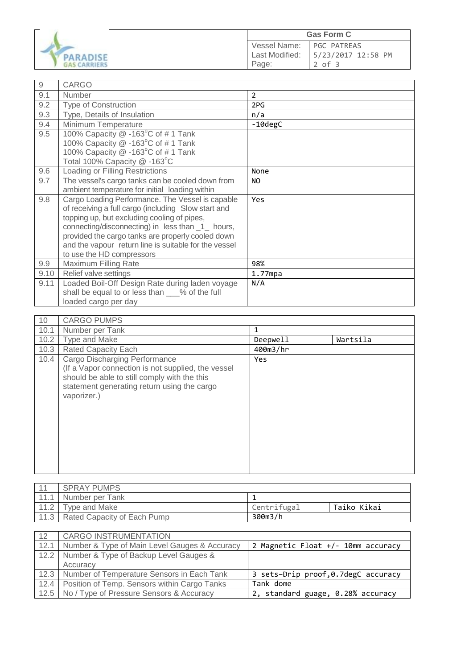

| $\hbox{9}$ | <b>CARGO</b>                                          |                |
|------------|-------------------------------------------------------|----------------|
| 9.1        | Number                                                | $\overline{2}$ |
| 9.2        | <b>Type of Construction</b>                           | 2PG            |
| 9.3        | Type, Details of Insulation                           | n/a            |
| 9.4        | Minimum Temperature                                   | -10degC        |
| 9.5        | 100% Capacity @ -163°C of #1 Tank                     |                |
|            | 100% Capacity @ -163°C of #1 Tank                     |                |
|            | 100% Capacity @ -163°C of #1 Tank                     |                |
|            | Total 100% Capacity @ -163°C                          |                |
| 9.6        | Loading or Filling Restrictions                       | None           |
| 9.7        | The vessel's cargo tanks can be cooled down from      | NO.            |
|            | ambient temperature for initial loading within        |                |
| 9.8        | Cargo Loading Performance. The Vessel is capable      | Yes            |
|            | of receiving a full cargo (including Slow start and   |                |
|            | topping up, but excluding cooling of pipes,           |                |
|            | connecting/disconnecting) in less than _1_ hours,     |                |
|            | provided the cargo tanks are properly cooled down     |                |
|            | and the vapour return line is suitable for the vessel |                |
|            | to use the HD compressors                             |                |
| 9.9        | Maximum Filling Rate                                  | 98%            |
| 9.10       | Relief valve settings                                 | $1.77$ mpa     |
| 9.11       | Loaded Boil-Off Design Rate during laden voyage       | N/A            |
|            | shall be equal to or less than ___% of the full       |                |
|            | loaded cargo per day                                  |                |

| 10   | <b>CARGO PUMPS</b>                                                                                                                                                                                |          |          |
|------|---------------------------------------------------------------------------------------------------------------------------------------------------------------------------------------------------|----------|----------|
| 10.1 | Number per Tank                                                                                                                                                                                   | 1        |          |
| 10.2 | Type and Make                                                                                                                                                                                     | Deepwell | Wartsila |
| 10.3 | <b>Rated Capacity Each</b>                                                                                                                                                                        | 400m3/hr |          |
| 10.4 | Cargo Discharging Performance<br>(If a Vapor connection is not supplied, the vessel<br>should be able to still comply with the this<br>statement generating return using the cargo<br>vaporizer.) | Yes      |          |

|      | <b>SPRAY PUMPS</b>                 |             |             |
|------|------------------------------------|-------------|-------------|
| 11.1 | Number per Tank                    |             |             |
|      | Tvpe and Make                      | Centrifugal | Taiko Kikai |
|      | 11.3   Rated Capacity of Each Pump | 300m3/h     |             |

| 12   | CARGO INSTRUMENTATION                               |                                     |
|------|-----------------------------------------------------|-------------------------------------|
| 12.1 | Number & Type of Main Level Gauges & Accuracy       | 2 Magnetic Float +/- 10mm accuracy  |
|      | 12.2 Number & Type of Backup Level Gauges &         |                                     |
|      | Accuracy                                            |                                     |
|      | 12.3   Number of Temperature Sensors in Each Tank   | 3 sets-Drip proof, 0.7degC accuracy |
|      | 12.4   Position of Temp. Sensors within Cargo Tanks | Tank dome                           |
|      | 12.5 No / Type of Pressure Sensors & Accuracy       | 2, standard guage, 0.28% accuracy   |